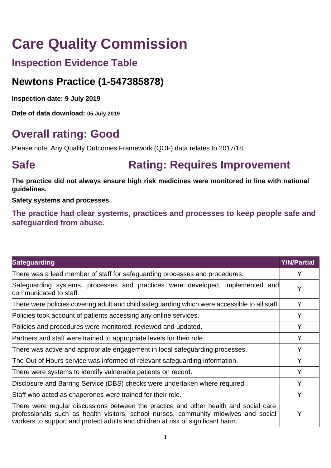# **Care Quality Commission**

## **Inspection Evidence Table**

## **Newtons Practice (1-547385878)**

**Inspection date: 9 July 2019**

**Date of data download: 05 July 2019**

## **Overall rating: Good**

Please note: Any Quality Outcomes Framework (QOF) data relates to 2017/18.

## **Safe <b>Rating: Requires Improvement**

**The practice did not always ensure high risk medicines were monitored in line with national guidelines.**

**Safety systems and processes** 

**The practice had clear systems, practices and processes to keep people safe and safeguarded from abuse.**

| <b>Safeguarding</b>                                                                                                                                                                                                                                            | <b>Y/N/Partial</b> |
|----------------------------------------------------------------------------------------------------------------------------------------------------------------------------------------------------------------------------------------------------------------|--------------------|
| There was a lead member of staff for safeguarding processes and procedures.                                                                                                                                                                                    | Y                  |
| Safeguarding systems, processes and practices were developed, implemented and<br>communicated to staff.                                                                                                                                                        | Y                  |
| There were policies covering adult and child safeguarding which were accessible to all staff.                                                                                                                                                                  | Y                  |
| Policies took account of patients accessing any online services.                                                                                                                                                                                               |                    |
| Policies and procedures were monitored, reviewed and updated.                                                                                                                                                                                                  |                    |
| Partners and staff were trained to appropriate levels for their role.                                                                                                                                                                                          |                    |
| There was active and appropriate engagement in local safeguarding processes.                                                                                                                                                                                   |                    |
| The Out of Hours service was informed of relevant safeguarding information.                                                                                                                                                                                    |                    |
| There were systems to identify vulnerable patients on record.                                                                                                                                                                                                  |                    |
| Disclosure and Barring Service (DBS) checks were undertaken where required.                                                                                                                                                                                    |                    |
| Staff who acted as chaperones were trained for their role.                                                                                                                                                                                                     |                    |
| There were regular discussions between the practice and other health and social care<br>professionals such as health visitors, school nurses, community midwives and social<br>workers to support and protect adults and children at risk of significant harm. |                    |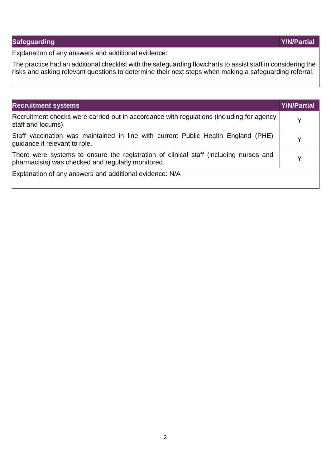### **Safeguarding Y/N/Partial**

Explanation of any answers and additional evidence:

The practice had an additional checklist with the safeguarding flowcharts to assist staff in considering the risks and asking relevant questions to determine their next steps when making a safeguarding referral.

| <b>Recruitment systems</b>                                                                                                                 | <b>Y/N/Partial</b> |
|--------------------------------------------------------------------------------------------------------------------------------------------|--------------------|
| Recruitment checks were carried out in accordance with regulations (including for agency<br>staff and locums).                             |                    |
| Staff vaccination was maintained in line with current Public Health England (PHE)<br>guidance if relevant to role.                         |                    |
| There were systems to ensure the registration of clinical staff (including nurses and<br>pharmacists) was checked and regularly monitored. |                    |
| Explanation of any answers and additional evidence: N/A                                                                                    |                    |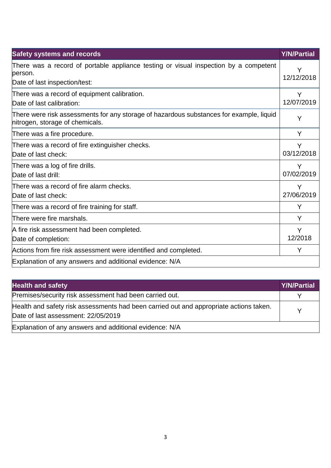| <b>Safety systems and records</b>                                                                                                 | <b>Y/N/Partial</b> |
|-----------------------------------------------------------------------------------------------------------------------------------|--------------------|
| There was a record of portable appliance testing or visual inspection by a competent<br>lperson.<br>Date of last inspection/test: | Y<br>12/12/2018    |
| There was a record of equipment calibration.<br>Date of last calibration:                                                         | Y<br>12/07/2019    |
| There were risk assessments for any storage of hazardous substances for example, liquid<br>nitrogen, storage of chemicals.        | Y                  |
| There was a fire procedure.                                                                                                       | Y                  |
| There was a record of fire extinguisher checks.<br>Date of last check:                                                            | Y<br>03/12/2018    |
| There was a log of fire drills.<br>Date of last drill:                                                                            | Y<br>07/02/2019    |
| There was a record of fire alarm checks.<br>Date of last check:                                                                   | Y<br>27/06/2019    |
| There was a record of fire training for staff.                                                                                    | Y                  |
| There were fire marshals.                                                                                                         | Y                  |
| A fire risk assessment had been completed.<br>Date of completion:                                                                 | Y<br>12/2018       |
| Actions from fire risk assessment were identified and completed.                                                                  | Y                  |
| Explanation of any answers and additional evidence: N/A                                                                           |                    |

| <b>Health and safety</b>                                                                                                      | <b>Y/N/Partial</b> |
|-------------------------------------------------------------------------------------------------------------------------------|--------------------|
| Premises/security risk assessment had been carried out.                                                                       |                    |
| Health and safety risk assessments had been carried out and appropriate actions taken.<br>Date of last assessment: 22/05/2019 |                    |
| Explanation of any answers and additional evidence: N/A                                                                       |                    |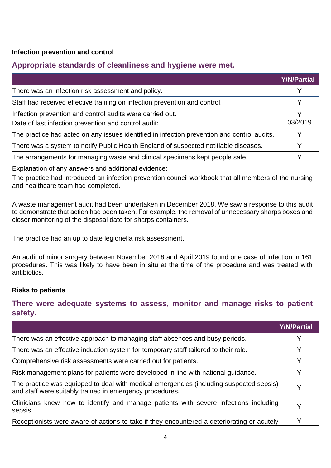#### **Infection prevention and control**

#### **Appropriate standards of cleanliness and hygiene were met.**

|                                                                                                                   | <b>Y/N/Partial</b> |
|-------------------------------------------------------------------------------------------------------------------|--------------------|
| There was an infection risk assessment and policy.                                                                | Y                  |
| Staff had received effective training on infection prevention and control.                                        |                    |
| Infection prevention and control audits were carried out.<br>Date of last infection prevention and control audit: | 03/2019            |
| The practice had acted on any issues identified in infection prevention and control audits.                       |                    |
| There was a system to notify Public Health England of suspected notifiable diseases.                              | v                  |
| The arrangements for managing waste and clinical specimens kept people safe.                                      |                    |

Explanation of any answers and additional evidence:

The practice had introduced an infection prevention council workbook that all members of the nursing and healthcare team had completed.

A waste management audit had been undertaken in December 2018. We saw a response to this audit  $\,$  to demonstrate that action had been taken. For example, the removal of unnecessary sharps boxes and closer monitoring of the disposal date for sharps containers.

The practice had an up to date legionella risk assessment.

An audit of minor surgery between November 2018 and April 2019 found one case of infection in 161 procedures. This was likely to have been in situ at the time of the procedure and was treated with antibiotics.

#### **Risks to patients**

#### **There were adequate systems to assess, monitor and manage risks to patient safety.**

|                                                                                                                                                     | <b>Y/N/Partial</b> |
|-----------------------------------------------------------------------------------------------------------------------------------------------------|--------------------|
| There was an effective approach to managing staff absences and busy periods.                                                                        |                    |
| There was an effective induction system for temporary staff tailored to their role.                                                                 | v                  |
| Comprehensive risk assessments were carried out for patients.                                                                                       | v                  |
| Risk management plans for patients were developed in line with national guidance.                                                                   | v                  |
| The practice was equipped to deal with medical emergencies (including suspected sepsis)<br>and staff were suitably trained in emergency procedures. | v                  |
| Clinicians knew how to identify and manage patients with severe infections including<br>sepsis.                                                     | v                  |
| Receptionists were aware of actions to take if they encountered a deteriorating or acutely                                                          | v                  |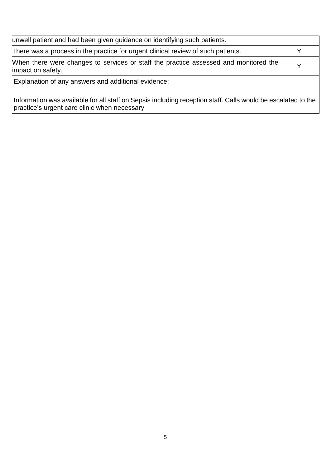| unwell patient and had been given guidance on identifying such patients.                                  |              |
|-----------------------------------------------------------------------------------------------------------|--------------|
| There was a process in the practice for urgent clinical review of such patients.                          |              |
| When there were changes to services or staff the practice assessed and monitored the<br>impact on safety. | $\checkmark$ |
| Explanation of any answers and additional evidence:                                                       |              |

Information was available for all staff on Sepsis including reception staff. Calls would be escalated to the practice's urgent care clinic when necessary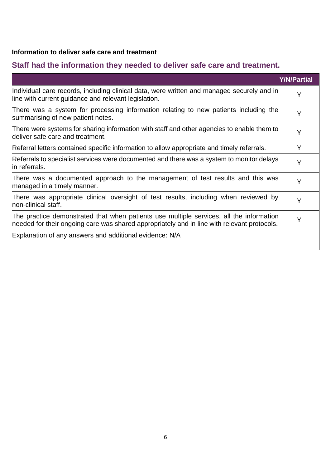#### **Information to deliver safe care and treatment**

## **Staff had the information they needed to deliver safe care and treatment.**

|                                                                                                                                                                                        | <b>Y/N/Partial</b> |
|----------------------------------------------------------------------------------------------------------------------------------------------------------------------------------------|--------------------|
| Individual care records, including clinical data, were written and managed securely and in<br>line with current guidance and relevant legislation.                                     | Υ                  |
| There was a system for processing information relating to new patients including the<br>summarising of new patient notes.                                                              | Y                  |
| There were systems for sharing information with staff and other agencies to enable them to<br>deliver safe care and treatment.                                                         | Y                  |
| Referral letters contained specific information to allow appropriate and timely referrals.                                                                                             | Y                  |
| Referrals to specialist services were documented and there was a system to monitor delays<br>in referrals.                                                                             | Y                  |
| There was a documented approach to the management of test results and this was<br>managed in a timely manner.                                                                          | Y                  |
| There was appropriate clinical oversight of test results, including when reviewed by<br>non-clinical staff.                                                                            | Y                  |
| The practice demonstrated that when patients use multiple services, all the information<br>needed for their ongoing care was shared appropriately and in line with relevant protocols. | Y                  |
| Explanation of any answers and additional evidence: N/A                                                                                                                                |                    |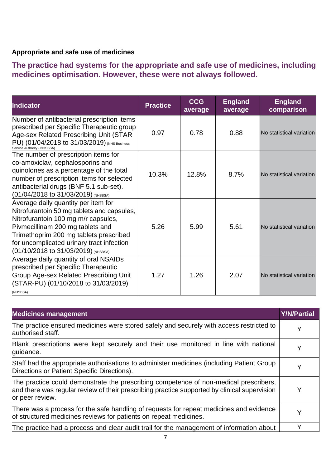#### **Appropriate and safe use of medicines**

**The practice had systems for the appropriate and safe use of medicines, including medicines optimisation. However, these were not always followed.**

| <b>Indicator</b>                                                                                                                                                                                                                                                                             | <b>Practice</b> | <b>CCG</b><br>average | <b>England</b><br>average | <b>England</b><br>comparison |
|----------------------------------------------------------------------------------------------------------------------------------------------------------------------------------------------------------------------------------------------------------------------------------------------|-----------------|-----------------------|---------------------------|------------------------------|
| Number of antibacterial prescription items<br>prescribed per Specific Therapeutic group<br>Age-sex Related Prescribing Unit (STAR<br>PU) (01/04/2018 to 31/03/2019) (NHS Business<br>Service Authority - NHSBSA)                                                                             | 0.97            | 0.78                  | 0.88                      | No statistical variation     |
| The number of prescription items for<br>co-amoxiclav, cephalosporins and<br>quinolones as a percentage of the total<br>number of prescription items for selected<br>antibacterial drugs (BNF 5.1 sub-set).<br>(01/04/2018 to 31/03/2019) (NHSBSA)                                            | 10.3%           | 12.8%                 | 8.7%                      | No statistical variation     |
| Average daily quantity per item for<br>Nitrofurantoin 50 mg tablets and capsules,<br>Nitrofurantoin 100 mg m/r capsules,<br>Pivmecillinam 200 mg tablets and<br>Trimethoprim 200 mg tablets prescribed<br>for uncomplicated urinary tract infection<br>$(01/10/2018$ to 31/03/2019) (NHSBSA) | 5.26            | 5.99                  | 5.61                      | No statistical variation     |
| Average daily quantity of oral NSAIDs<br>prescribed per Specific Therapeutic<br><b>Group Age-sex Related Prescribing Unit</b><br>(STAR-PU) (01/10/2018 to 31/03/2019)<br>(NHSBSA)                                                                                                            | 1.27            | 1.26                  | 2.07                      | No statistical variation     |

| <b>Medicines management</b>                                                                                                                                                                              | <b>Y/N/Partial</b> |
|----------------------------------------------------------------------------------------------------------------------------------------------------------------------------------------------------------|--------------------|
| The practice ensured medicines were stored safely and securely with access restricted to<br>authorised staff.                                                                                            | Y                  |
| Blank prescriptions were kept securely and their use monitored in line with national<br>guidance.                                                                                                        |                    |
| Staff had the appropriate authorisations to administer medicines (including Patient Group<br>Directions or Patient Specific Directions).                                                                 |                    |
| The practice could demonstrate the prescribing competence of non-medical prescribers,<br>and there was regular review of their prescribing practice supported by clinical supervision<br>or peer review. |                    |
| There was a process for the safe handling of requests for repeat medicines and evidence<br>of structured medicines reviews for patients on repeat medicines.                                             |                    |
| The practice had a process and clear audit trail for the management of information about                                                                                                                 |                    |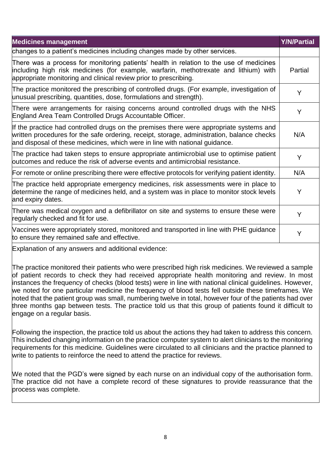| <b>Medicines management</b>                                                                                                                                                                                                                                          | <b>Y/N/Partial</b> |
|----------------------------------------------------------------------------------------------------------------------------------------------------------------------------------------------------------------------------------------------------------------------|--------------------|
| changes to a patient's medicines including changes made by other services.                                                                                                                                                                                           |                    |
| There was a process for monitoring patients' health in relation to the use of medicines<br>including high risk medicines (for example, warfarin, methotrexate and lithium) with<br>appropriate monitoring and clinical review prior to prescribing.                  | Partial            |
| The practice monitored the prescribing of controlled drugs. (For example, investigation of<br>unusual prescribing, quantities, dose, formulations and strength).                                                                                                     | Y                  |
| There were arrangements for raising concerns around controlled drugs with the NHS<br>England Area Team Controlled Drugs Accountable Officer.                                                                                                                         | Y                  |
| If the practice had controlled drugs on the premises there were appropriate systems and<br>written procedures for the safe ordering, receipt, storage, administration, balance checks<br>and disposal of these medicines, which were in line with national guidance. | N/A                |
| The practice had taken steps to ensure appropriate antimicrobial use to optimise patient<br>outcomes and reduce the risk of adverse events and antimicrobial resistance.                                                                                             | Y                  |
| For remote or online prescribing there were effective protocols for verifying patient identity.                                                                                                                                                                      | N/A                |
| The practice held appropriate emergency medicines, risk assessments were in place to<br>determine the range of medicines held, and a system was in place to monitor stock levels<br>and expiry dates.                                                                | Y                  |
| There was medical oxygen and a defibrillator on site and systems to ensure these were<br>regularly checked and fit for use.                                                                                                                                          | Y                  |
| Vaccines were appropriately stored, monitored and transported in line with PHE guidance<br>to ensure they remained safe and effective.                                                                                                                               | Y                  |
|                                                                                                                                                                                                                                                                      |                    |

Explanation of any answers and additional evidence:

The practice monitored their patients who were prescribed high risk medicines. We reviewed a sample of patient records to check they had received appropriate health monitoring and review. In most instances the frequency of checks (blood tests) were in line with national clinical guidelines. However, we noted for one particular medicine the frequency of blood tests fell outside these timeframes. We noted that the patient group was small, numbering twelve in total, however four of the patients had over three months gap between tests. The practice told us that this group of patients found it difficult to engage on a regular basis.

Following the inspection, the practice told us about the actions they had taken to address this concern. This included changing information on the practice computer system to alert clinicians to the monitoring requirements for this medicine. Guidelines were circulated to all clinicians and the practice planned to write to patients to reinforce the need to attend the practice for reviews.

We noted that the PGD's were signed by each nurse on an individual copy of the authorisation form. The practice did not have a complete record of these signatures to provide reassurance that the process was complete.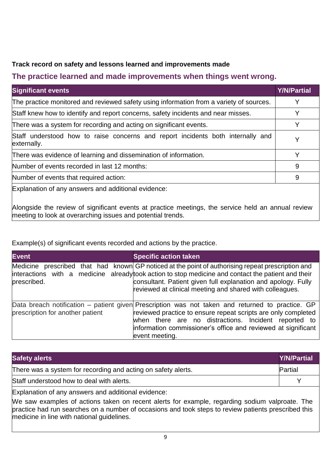#### **Track record on safety and lessons learned and improvements made**

### **The practice learned and made improvements when things went wrong.**

| <b>Significant events</b>                                                                      | <b>Y/N/Partial</b> |
|------------------------------------------------------------------------------------------------|--------------------|
| The practice monitored and reviewed safety using information from a variety of sources.        | Y                  |
| Staff knew how to identify and report concerns, safety incidents and near misses.              |                    |
| There was a system for recording and acting on significant events.                             | Y                  |
| Staff understood how to raise concerns and report incidents both internally and<br>externally. | Y                  |
| There was evidence of learning and dissemination of information.                               | Y                  |
| Number of events recorded in last 12 months:                                                   | 9                  |
| Number of events that required action:                                                         | 9                  |
| Explanation of any answers and additional evidence:                                            |                    |

Alongside the review of significant events at practice meetings, the service held an annual review meeting to look at overarching issues and potential trends.

Example(s) of significant events recorded and actions by the practice.

| <b>Event</b>                     | <b>Specific action taken</b>                                                                                                                                                                                                                                                                                                          |
|----------------------------------|---------------------------------------------------------------------------------------------------------------------------------------------------------------------------------------------------------------------------------------------------------------------------------------------------------------------------------------|
| prescribed.                      | Medicine prescribed that had known GP noticed at the point of authorising repeat prescription and<br>interactions with a medicine already took action to stop medicine and contact the patient and their<br>consultant. Patient given full explanation and apology. Fully<br>reviewed at clinical meeting and shared with colleagues. |
| prescription for another patient | Data breach notification – patient given Prescription was not taken and returned to practice. GP<br>reviewed practice to ensure repeat scripts are only completed<br>when there are no distractions. Incident reported to<br>information commissioner's office and reviewed at significant<br>event meeting.                          |

| <b>Safety alerts</b>                                                                                                                                                                                                                                                                                        | <b>Y/N/Partial</b> |
|-------------------------------------------------------------------------------------------------------------------------------------------------------------------------------------------------------------------------------------------------------------------------------------------------------------|--------------------|
| There was a system for recording and acting on safety alerts.                                                                                                                                                                                                                                               | Partial            |
| Staff understood how to deal with alerts.                                                                                                                                                                                                                                                                   |                    |
| Explanation of any answers and additional evidence:<br>We saw examples of actions taken on recent alerts for example, regarding sodium valproate. The<br>practice had run searches on a number of occasions and took steps to review patients prescribed this<br>medicine in line with national guidelines. |                    |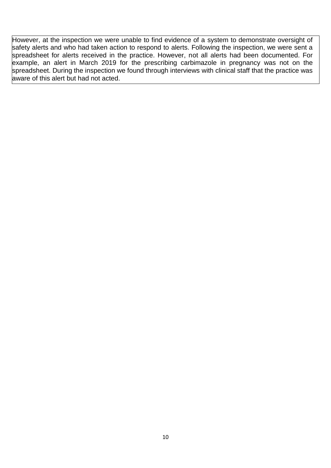However, at the inspection we were unable to find evidence of a system to demonstrate oversight of safety alerts and who had taken action to respond to alerts. Following the inspection, we were sent a spreadsheet for alerts received in the practice. However, not all alerts had been documented. For example, an alert in March 2019 for the prescribing carbimazole in pregnancy was not on the spreadsheet. During the inspection we found through interviews with clinical staff that the practice was aware of this alert but had not acted.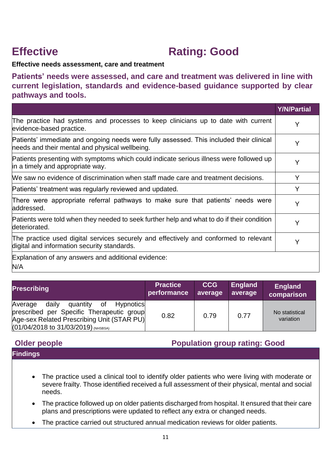## **Effective Construction Rating: Good**

#### **Effective needs assessment, care and treatment**

**Patients' needs were assessed, and care and treatment was delivered in line with current legislation, standards and evidence-based guidance supported by clear pathways and tools.**

|                                                                                                                                           | <b>Y/N/Partial</b> |
|-------------------------------------------------------------------------------------------------------------------------------------------|--------------------|
| The practice had systems and processes to keep clinicians up to date with current<br>evidence-based practice.                             | Y                  |
| Patients' immediate and ongoing needs were fully assessed. This included their clinical<br>needs and their mental and physical wellbeing. | Y                  |
| Patients presenting with symptoms which could indicate serious illness were followed up<br>in a timely and appropriate way.               | Y                  |
| We saw no evidence of discrimination when staff made care and treatment decisions.                                                        | Y                  |
| Patients' treatment was regularly reviewed and updated.                                                                                   | Y                  |
| There were appropriate referral pathways to make sure that patients' needs were<br>addressed.                                             | Y                  |
| Patients were told when they needed to seek further help and what to do if their condition<br>deteriorated.                               | Y                  |
| The practice used digital services securely and effectively and conformed to relevant<br>digital and information security standards.      | Υ                  |
| Explanation of any answers and additional evidence:<br>N/A                                                                                |                    |

| <b>Prescribing</b>                                                                                                                                                                    | <b>Practice</b> | <b>CCG</b> | England | <b>England</b>              |
|---------------------------------------------------------------------------------------------------------------------------------------------------------------------------------------|-----------------|------------|---------|-----------------------------|
|                                                                                                                                                                                       | performance     | average    | average | comparison                  |
| daily<br>Average<br>quantity<br>of<br>Hypnotics<br>prescribed per Specific Therapeutic group<br>Age-sex Related Prescribing Unit (STAR PU)<br>$(01/04/2018$ to $31/03/2019)$ (NHSBSA) | 0.82            | 0.79       | 0.77    | No statistical<br>variation |

#### **Older people Population group rating: Good**

- The practice used a clinical tool to identify older patients who were living with moderate or severe frailty. Those identified received a full assessment of their physical, mental and social needs.
- The practice followed up on older patients discharged from hospital. It ensured that their care plans and prescriptions were updated to reflect any extra or changed needs.
- The practice carried out structured annual medication reviews for older patients.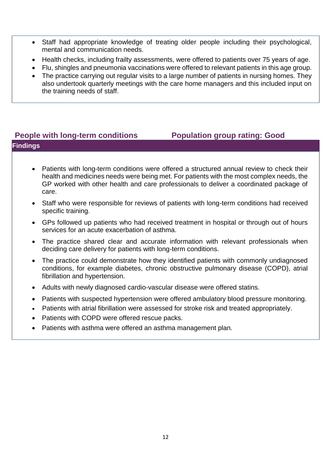- Staff had appropriate knowledge of treating older people including their psychological, mental and communication needs.
- Health checks, including frailty assessments, were offered to patients over 75 years of age.
- Flu, shingles and pneumonia vaccinations were offered to relevant patients in this age group.
- The practice carrying out regular visits to a large number of patients in nursing homes. They also undertook quarterly meetings with the care home managers and this included input on the training needs of staff.

#### **People with long-term conditions Population group rating: Good Findings**

- Patients with long-term conditions were offered a structured annual review to check their health and medicines needs were being met. For patients with the most complex needs, the GP worked with other health and care professionals to deliver a coordinated package of care.
- Staff who were responsible for reviews of patients with long-term conditions had received specific training.
- GPs followed up patients who had received treatment in hospital or through out of hours services for an acute exacerbation of asthma.
- The practice shared clear and accurate information with relevant professionals when deciding care delivery for patients with long-term conditions.
- The practice could demonstrate how they identified patients with commonly undiagnosed conditions, for example diabetes, chronic obstructive pulmonary disease (COPD), atrial fibrillation and hypertension.
- Adults with newly diagnosed cardio-vascular disease were offered statins.
- Patients with suspected hypertension were offered ambulatory blood pressure monitoring.
- Patients with atrial fibrillation were assessed for stroke risk and treated appropriately.
- Patients with COPD were offered rescue packs.
- Patients with asthma were offered an asthma management plan.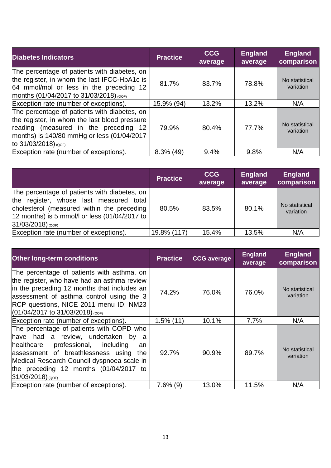| <b>Diabetes Indicators</b>                                                                                                                                                                                   | <b>Practice</b> | <b>CCG</b><br>average | <b>England</b><br>average | <b>England</b><br>comparison |
|--------------------------------------------------------------------------------------------------------------------------------------------------------------------------------------------------------------|-----------------|-----------------------|---------------------------|------------------------------|
| The percentage of patients with diabetes, on<br>the register, in whom the last IFCC-HbA1c is<br>64 mmol/mol or less in the preceding 12<br>months (01/04/2017 to 31/03/2018) (QOF)                           | 81.7%           | 83.7%                 | 78.8%                     | No statistical<br>variation  |
| Exception rate (number of exceptions).                                                                                                                                                                       | 15.9% (94)      | 13.2%                 | 13.2%                     | N/A                          |
| The percentage of patients with diabetes, on<br>the register, in whom the last blood pressure<br>reading (measured in the preceding 12<br>months) is 140/80 mmHg or less (01/04/2017<br>to 31/03/2018) (QOF) | 79.9%           | 80.4%                 | 77.7%                     | No statistical<br>variation  |
| Exception rate (number of exceptions).                                                                                                                                                                       | $8.3\%$ (49)    | 9.4%                  | 9.8%                      | N/A                          |

|                                                                                                                                                                                                                          | <b>Practice</b> | <b>CCG</b><br>average | <b>England</b><br>average | <b>England</b><br>comparison |
|--------------------------------------------------------------------------------------------------------------------------------------------------------------------------------------------------------------------------|-----------------|-----------------------|---------------------------|------------------------------|
| The percentage of patients with diabetes, on<br>the register, whose last measured total<br>cholesterol (measured within the preceding<br>$ 12 \text{ months} $ is 5 mmol/l or less (01/04/2017 to<br>$31/03/2018)$ (QOF) | 80.5%           | 83.5%                 | 80.1%                     | No statistical<br>variation  |
| Exception rate (number of exceptions).                                                                                                                                                                                   | 19.8% (117)     | 15.4%                 | 13.5%                     | N/A                          |

| <b>Other long-term conditions</b>                                                                                                                                                                                                                                                               | <b>Practice</b> | <b>CCG</b> average | <b>England</b><br>average | <b>England</b><br>comparison |
|-------------------------------------------------------------------------------------------------------------------------------------------------------------------------------------------------------------------------------------------------------------------------------------------------|-----------------|--------------------|---------------------------|------------------------------|
| The percentage of patients with asthma, on<br>the register, who have had an asthma review<br>in the preceding 12 months that includes an<br>assessment of asthma control using the 3<br>RCP questions, NICE 2011 menu ID: NM23<br>$(01/04/2017$ to 31/03/2018) (QOF)                            | 74.2%           | 76.0%              | 76.0%                     | No statistical<br>variation  |
| Exception rate (number of exceptions).                                                                                                                                                                                                                                                          | $1.5\%$ (11)    | 10.1%              | 7.7%                      | N/A                          |
| The percentage of patients with COPD who<br>have had a review, undertaken by a<br>professional,<br>healthcare<br>including<br>an<br>assessment of breathlessness using<br>the<br>Medical Research Council dyspnoea scale in<br>the preceding 12 months $(01/04/2017)$ to<br>$31/03/2018)$ (QOF) | 92.7%           | 90.9%              | 89.7%                     | No statistical<br>variation  |
| Exception rate (number of exceptions).                                                                                                                                                                                                                                                          | $7.6\%$ (9)     | 13.0%              | 11.5%                     | N/A                          |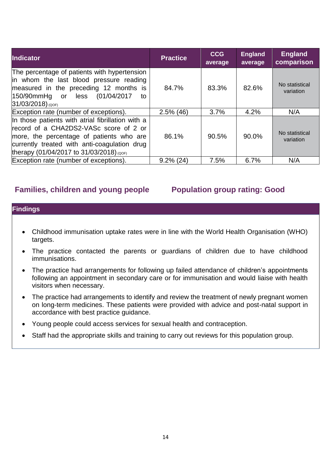| <b>Indicator</b>                                                                                                                                                                                                                    | <b>Practice</b> | <b>CCG</b><br>average | <b>England</b><br>average | <b>England</b><br>comparison |
|-------------------------------------------------------------------------------------------------------------------------------------------------------------------------------------------------------------------------------------|-----------------|-----------------------|---------------------------|------------------------------|
| The percentage of patients with hypertension<br>in whom the last blood pressure reading<br>measured in the preceding 12 months is<br>150/90mmHg or<br>(01/04/2017)<br>less<br>to<br>$31/03/2018)$ (QOF)                             | 84.7%           | 83.3%                 | 82.6%                     | No statistical<br>variation  |
| Exception rate (number of exceptions).                                                                                                                                                                                              | $2.5\%$ (46)    | 3.7%                  | 4.2%                      | N/A                          |
| In those patients with atrial fibrillation with a<br>record of a CHA2DS2-VASc score of 2 or<br>more, the percentage of patients who are<br>currently treated with anti-coagulation drug<br>therapy (01/04/2017 to 31/03/2018) (QOF) | 86.1%           | 90.5%                 | 90.0%                     | No statistical<br>variation  |
| Exception rate (number of exceptions).                                                                                                                                                                                              | $9.2\%$ (24)    | 7.5%                  | 6.7%                      | N/A                          |

#### **Families, children and young people Population group rating: Good**

- Childhood immunisation uptake rates were in line with the World Health Organisation (WHO) targets.
- The practice contacted the parents or guardians of children due to have childhood immunisations.
- The practice had arrangements for following up failed attendance of children's appointments following an appointment in secondary care or for immunisation and would liaise with health visitors when necessary.
- The practice had arrangements to identify and review the treatment of newly pregnant women on long-term medicines. These patients were provided with advice and post-natal support in accordance with best practice guidance.
- Young people could access services for sexual health and contraception.
- Staff had the appropriate skills and training to carry out reviews for this population group.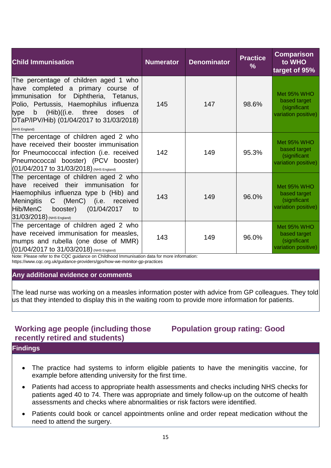| <b>Child Immunisation</b>                                                                                                                                                                                                                                                   | <b>Numerator</b> | <b>Denominator</b> | <b>Practice</b><br>$\%$ | <b>Comparison</b><br>to WHO<br>target of 95%                              |
|-----------------------------------------------------------------------------------------------------------------------------------------------------------------------------------------------------------------------------------------------------------------------------|------------------|--------------------|-------------------------|---------------------------------------------------------------------------|
| The percentage of children aged 1 who<br>have completed a primary course of<br>immunisation for Diphtheria, Tetanus,<br>Polio, Pertussis, Haemophilus influenza<br>type b (Hib)((i.e. three doses<br><b>of</b><br>DTaP/IPV/Hib) (01/04/2017 to 31/03/2018)<br>(NHS England) | 145              | 147                | 98.6%                   | <b>Met 95% WHO</b><br>based target<br>(significant<br>variation positive) |
| The percentage of children aged 2 who<br>have received their booster immunisation<br>for Pneumococcal infection (i.e. received<br>Pneumococcal booster) (PCV booster)<br>$(01/04/2017$ to $31/03/2018)$ (NHS England)                                                       | 142              | 149                | 95.3%                   | Met 95% WHO<br>based target<br>(significant<br>variation positive)        |
| The percentage of children aged 2 who<br>have received their immunisation for<br>Haemophilus influenza type b (Hib) and<br>Meningitis C (MenC) (i.e. received<br>Hib/MenC<br>booster) (01/04/2017<br>to<br>31/03/2018) (NHS England)                                        | 143              | 149                | 96.0%                   | Met 95% WHO<br>based target<br>(significant<br>variation positive)        |
| The percentage of children aged 2 who<br>have received immunisation for measles,<br>mumps and rubella (one dose of MMR)<br>$(01/04/2017$ to $31/03/2018)$ (NHS England)                                                                                                     | 143              | 149                | 96.0%                   | Met 95% WHO<br>based target<br>(significant<br>variation positive)        |

Note: Please refer to the CQC guidance on Childhood Immunisation data for more information:

https://www.cqc.org.uk/guidance-providers/gps/how-we-monitor-gp-practices

#### **Any additional evidence or comments**

The lead nurse was working on a measles information poster with advice from GP colleagues. They told us that they intended to display this in the waiting room to provide more information for patients.

#### **Working age people (including those recently retired and students)**

### **Population group rating: Good**

- The practice had systems to inform eligible patients to have the meningitis vaccine, for example before attending university for the first time.
- Patients had access to appropriate health assessments and checks including NHS checks for patients aged 40 to 74. There was appropriate and timely follow-up on the outcome of health assessments and checks where abnormalities or risk factors were identified.
- Patients could book or cancel appointments online and order repeat medication without the need to attend the surgery.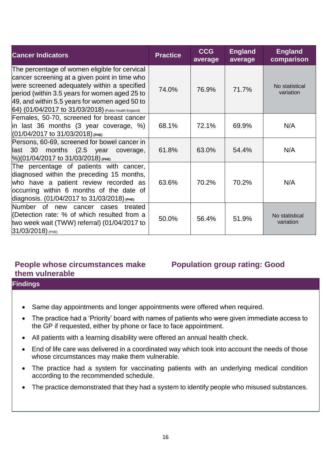| <b>Cancer Indicators</b>                                                                                                                                                                                                                                                                                  | <b>Practice</b> | <b>CCG</b><br>average | <b>England</b><br>average | <b>England</b><br>comparison |
|-----------------------------------------------------------------------------------------------------------------------------------------------------------------------------------------------------------------------------------------------------------------------------------------------------------|-----------------|-----------------------|---------------------------|------------------------------|
| The percentage of women eligible for cervical<br>cancer screening at a given point in time who<br>were screened adequately within a specified<br>period (within 3.5 years for women aged 25 to<br>49, and within 5.5 years for women aged 50 to<br>64) (01/04/2017 to 31/03/2018) (Public Health England) | 74.0%           | 76.9%                 | 71.7%                     | No statistical<br>variation  |
| Females, 50-70, screened for breast cancer<br>in last 36 months (3 year coverage, $\%$ )<br>$(01/04/2017$ to $31/03/2018)$ (PHE)                                                                                                                                                                          | 68.1%           | 72.1%                 | 69.9%                     | N/A                          |
| Persons, 60-69, screened for bowel cancer in<br>30 months (2.5 year<br>llast<br>coverage,<br>$\frac{1}{6}$ (01/04/2017 to 31/03/2018) (PHE)                                                                                                                                                               | 61.8%           | 63.0%                 | 54.4%                     | N/A                          |
| The percentage of patients with cancer,<br>diagnosed within the preceding 15 months,<br>who have a patient review recorded as<br>occurring within 6 months of the date of<br>diagnosis. (01/04/2017 to 31/03/2018) (PHE)                                                                                  | 63.6%           | 70.2%                 | 70.2%                     | N/A                          |
| Number of new<br>cancer cases<br>treated<br>(Detection rate: % of which resulted from a<br>two week wait (TWW) referral) (01/04/2017 to<br>31/03/2018) (PHE)                                                                                                                                              | 50.0%           | 56.4%                 | 51.9%                     | No statistical<br>variation  |

#### **People whose circumstances make them vulnerable**

### **Population group rating: Good**

- Same day appointments and longer appointments were offered when required.
- The practice had a 'Priority' board with names of patients who were given immediate access to the GP if requested, either by phone or face to face appointment.
- All patients with a learning disability were offered an annual health check.
- End of life care was delivered in a coordinated way which took into account the needs of those whose circumstances may make them vulnerable.
- The practice had a system for vaccinating patients with an underlying medical condition according to the recommended schedule.
- The practice demonstrated that they had a system to identify people who misused substances.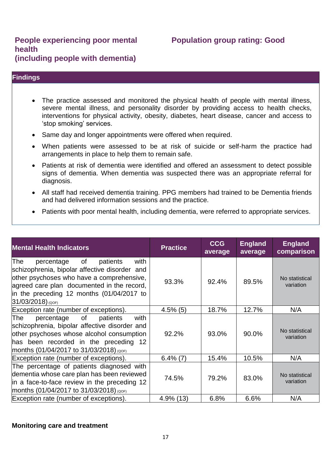#### **People experiencing poor mental health (including people with dementia)**

#### **Population group rating: Good**

#### **Findings**

- The practice assessed and monitored the physical health of people with mental illness, severe mental illness, and personality disorder by providing access to health checks, interventions for physical activity, obesity, diabetes, heart disease, cancer and access to 'stop smoking' services.
- Same day and longer appointments were offered when required.
- When patients were assessed to be at risk of suicide or self-harm the practice had arrangements in place to help them to remain safe.
- Patients at risk of dementia were identified and offered an assessment to detect possible signs of dementia. When dementia was suspected there was an appropriate referral for diagnosis.
- All staff had received dementia training. PPG members had trained to be Dementia friends and had delivered information sessions and the practice.
- Patients with poor mental health, including dementia, were referred to appropriate services.

| <b>Mental Health Indicators</b>                                                                                                                                                                                                                             | <b>Practice</b> | <b>CCG</b><br>average | <b>England</b><br>average | <b>England</b><br>comparison |
|-------------------------------------------------------------------------------------------------------------------------------------------------------------------------------------------------------------------------------------------------------------|-----------------|-----------------------|---------------------------|------------------------------|
| The<br>with<br>of<br>patients<br>percentage<br>schizophrenia, bipolar affective disorder and<br>other psychoses who have a comprehensive,<br>agreed care plan documented in the record,<br>in the preceding 12 months (01/04/2017 to<br>$31/03/2018)$ (QOF) | 93.3%           | 92.4%                 | 89.5%                     | No statistical<br>variation  |
| Exception rate (number of exceptions).                                                                                                                                                                                                                      | $4.5\%$ (5)     | 18.7%                 | 12.7%                     | N/A                          |
| The<br>of<br>patients<br>with<br>percentage<br>schizophrenia, bipolar affective disorder and<br>other psychoses whose alcohol consumption<br>has been recorded in the preceding 12<br>months (01/04/2017 to 31/03/2018) (QOF)                               | 92.2%           | 93.0%                 | 90.0%                     | No statistical<br>variation  |
| Exception rate (number of exceptions).                                                                                                                                                                                                                      | $6.4\%$ (7)     | 15.4%                 | 10.5%                     | N/A                          |
| The percentage of patients diagnosed with<br>dementia whose care plan has been reviewed<br>in a face-to-face review in the preceding 12<br>months (01/04/2017 to 31/03/2018) (QOF)                                                                          | 74.5%           | 79.2%                 | 83.0%                     | No statistical<br>variation  |
| Exception rate (number of exceptions).                                                                                                                                                                                                                      | $4.9\%$ (13)    | 6.8%                  | 6.6%                      | N/A                          |

#### **Monitoring care and treatment**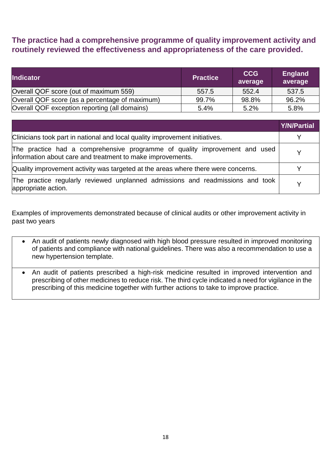#### **The practice had a comprehensive programme of quality improvement activity and routinely reviewed the effectiveness and appropriateness of the care provided.**

| <b>Indicator</b>                               | <b>Practice</b> | <b>CCG</b><br>average | <b>England</b><br>average |
|------------------------------------------------|-----------------|-----------------------|---------------------------|
| Overall QOF score (out of maximum 559)         | 557.5           | 552.4                 | 537.5                     |
| Overall QOF score (as a percentage of maximum) | 99.7%           | 98.8%                 | 96.2%                     |
| Overall QOF exception reporting (all domains)  | 5.4%            | 5.2%                  | 5.8%                      |

|                                                                                                                                          | <b>Y/N/Partial</b> |
|------------------------------------------------------------------------------------------------------------------------------------------|--------------------|
| Clinicians took part in national and local quality improvement initiatives.                                                              |                    |
| The practice had a comprehensive programme of quality improvement and used<br>information about care and treatment to make improvements. |                    |
| Quality improvement activity was targeted at the areas where there were concerns.                                                        |                    |
| The practice regularly reviewed unplanned admissions and readmissions and took<br>appropriate action.                                    |                    |

Examples of improvements demonstrated because of clinical audits or other improvement activity in past two years

- An audit of patients newly diagnosed with high blood pressure resulted in improved monitoring of patients and compliance with national guidelines. There was also a recommendation to use a new hypertension template.
- An audit of patients prescribed a high-risk medicine resulted in improved intervention and prescribing of other medicines to reduce risk. The third cycle indicated a need for vigilance in the prescribing of this medicine together with further actions to take to improve practice.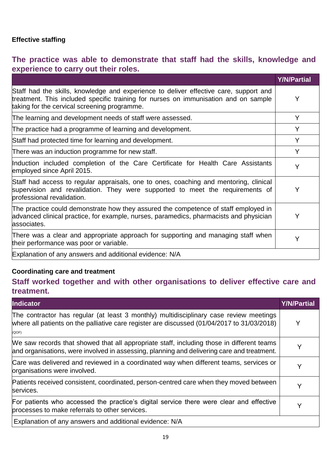#### **Effective staffing**

### **The practice was able to demonstrate that staff had the skills, knowledge and experience to carry out their roles.**

|                                                                                                                                                                                                                              | <b>Y/N/Partial</b> |
|------------------------------------------------------------------------------------------------------------------------------------------------------------------------------------------------------------------------------|--------------------|
| Staff had the skills, knowledge and experience to deliver effective care, support and<br>treatment. This included specific training for nurses on immunisation and on sample<br>taking for the cervical screening programme. | Υ                  |
| The learning and development needs of staff were assessed.                                                                                                                                                                   | Y                  |
| The practice had a programme of learning and development.                                                                                                                                                                    | Y                  |
| Staff had protected time for learning and development.                                                                                                                                                                       | Y                  |
| There was an induction programme for new staff.                                                                                                                                                                              | Y                  |
| Induction included completion of the Care Certificate for Health Care Assistants<br>employed since April 2015.                                                                                                               | Y                  |
| Staff had access to regular appraisals, one to ones, coaching and mentoring, clinical<br>supervision and revalidation. They were supported to meet the requirements of<br>professional revalidation.                         | Y                  |
| The practice could demonstrate how they assured the competence of staff employed in<br>advanced clinical practice, for example, nurses, paramedics, pharmacists and physician<br>associates.                                 | Υ                  |
| There was a clear and appropriate approach for supporting and managing staff when<br>their performance was poor or variable.                                                                                                 | Υ                  |
| Explanation of any answers and additional evidence: N/A                                                                                                                                                                      |                    |

#### **Coordinating care and treatment**

### **Staff worked together and with other organisations to deliver effective care and treatment.**

| <b>Indicator</b>                                                                                                                                                                               | <b>Y/N/Partial</b> |
|------------------------------------------------------------------------------------------------------------------------------------------------------------------------------------------------|--------------------|
| The contractor has regular (at least 3 monthly) multidisciplinary case review meetings<br>where all patients on the palliative care register are discussed (01/04/2017 to 31/03/2018)<br>(QOF) | Y                  |
| We saw records that showed that all appropriate staff, including those in different teams<br>and organisations, were involved in assessing, planning and delivering care and treatment.        |                    |
| Care was delivered and reviewed in a coordinated way when different teams, services or<br>organisations were involved.                                                                         | Y                  |
| Patients received consistent, coordinated, person-centred care when they moved between<br>services.                                                                                            | Y                  |
| For patients who accessed the practice's digital service there were clear and effective<br>processes to make referrals to other services.                                                      | Y                  |
| Explanation of any answers and additional evidence: N/A                                                                                                                                        |                    |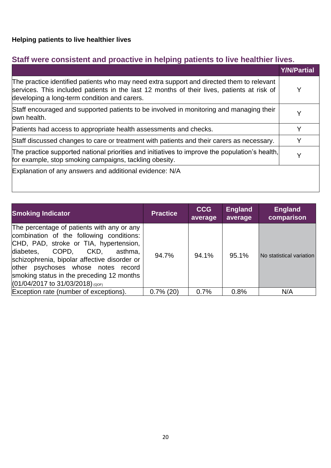## **Staff were consistent and proactive in helping patients to live healthier lives.**

|                                                                                                                                                                                                                                         | <b>Y/N/Partial</b> |
|-----------------------------------------------------------------------------------------------------------------------------------------------------------------------------------------------------------------------------------------|--------------------|
| The practice identified patients who may need extra support and directed them to relevant<br>services. This included patients in the last 12 months of their lives, patients at risk of<br>developing a long-term condition and carers. | Y                  |
| Staff encouraged and supported patients to be involved in monitoring and managing their<br>lown health.                                                                                                                                 |                    |
| Patients had access to appropriate health assessments and checks.                                                                                                                                                                       | Y                  |
| Staff discussed changes to care or treatment with patients and their carers as necessary.                                                                                                                                               | Y                  |
| The practice supported national priorities and initiatives to improve the population's health,<br>for example, stop smoking campaigns, tackling obesity.                                                                                | Y                  |
| Explanation of any answers and additional evidence: N/A                                                                                                                                                                                 |                    |

| <b>Smoking Indicator</b>                                                                                                                                                                                                                                                                                                                        | <b>Practice</b> | <b>CCG</b><br>average | <b>England</b><br>average | <b>England</b><br>comparison |
|-------------------------------------------------------------------------------------------------------------------------------------------------------------------------------------------------------------------------------------------------------------------------------------------------------------------------------------------------|-----------------|-----------------------|---------------------------|------------------------------|
| The percentage of patients with any or any<br>combination of the following conditions:<br>CHD, PAD, stroke or TIA, hypertension,<br>diabetes, COPD,<br>CKD.<br>asthma.<br>schizophrenia, bipolar affective disorder or<br>other psychoses whose notes record<br>smoking status in the preceding 12 months<br>$(01/04/2017$ to 31/03/2018) (QOF) | 94.7%           | 94.1%                 | 95.1%                     | No statistical variation     |
| Exception rate (number of exceptions).                                                                                                                                                                                                                                                                                                          | $0.7\%$ (20)    | 0.7%                  | 0.8%                      | N/A                          |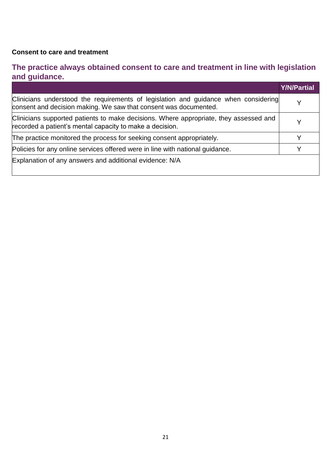#### **Consent to care and treatment**

### **The practice always obtained consent to care and treatment in line with legislation and guidance.**

|                                                                                                                                                         | <b>Y/N/Partial</b> |
|---------------------------------------------------------------------------------------------------------------------------------------------------------|--------------------|
| Clinicians understood the requirements of legislation and guidance when considering<br>consent and decision making. We saw that consent was documented. |                    |
| Clinicians supported patients to make decisions. Where appropriate, they assessed and<br>recorded a patient's mental capacity to make a decision.       |                    |
| The practice monitored the process for seeking consent appropriately.                                                                                   |                    |
| Policies for any online services offered were in line with national guidance.                                                                           | v                  |
| Explanation of any answers and additional evidence: N/A                                                                                                 |                    |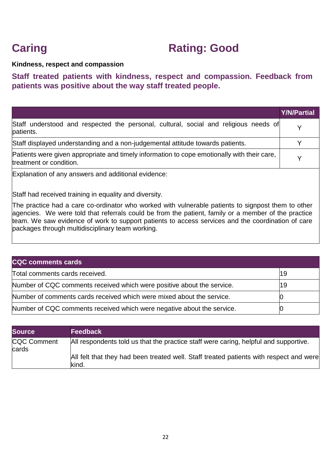## **Caring Caring: Good**

#### **Kindness, respect and compassion**

#### **Staff treated patients with kindness, respect and compassion. Feedback from patients was positive about the way staff treated people.**

|                                                                                                                                                                                                                                          | <b>Y/N/Partial</b> |
|------------------------------------------------------------------------------------------------------------------------------------------------------------------------------------------------------------------------------------------|--------------------|
| Staff understood and respected the personal, cultural, social and religious needs of<br>patients.                                                                                                                                        |                    |
| Staff displayed understanding and a non-judgemental attitude towards patients.                                                                                                                                                           |                    |
| Patients were given appropriate and timely information to cope emotionally with their care,<br>treatment or condition.                                                                                                                   | v                  |
| $-$<br>$\mathbf{r}$ , and a set of the contract of the contract of the contract of the contract of the contract of the contract of the contract of the contract of the contract of the contract of the contract of the contract of the c |                    |

Explanation of any answers and additional evidence:

Staff had received training in equality and diversity.

The practice had a care co-ordinator who worked with vulnerable patients to signpost them to other agencies. We were told that referrals could be from the patient, family or a member of the practice team. We saw evidence of work to support patients to access services and the coordination of care packages through multidisciplinary team working.

| <b>CQC comments cards</b>                                              |    |
|------------------------------------------------------------------------|----|
| Total comments cards received.                                         | 19 |
| Number of CQC comments received which were positive about the service. | 19 |
| Number of comments cards received which were mixed about the service.  |    |
| Number of CQC comments received which were negative about the service. |    |

| <b>Source</b>        | <b>Feedback</b>                                                                                 |
|----------------------|-------------------------------------------------------------------------------------------------|
| CQC Comment<br>cards | All respondents told us that the practice staff were caring, helpful and supportive.            |
|                      | All felt that they had been treated well. Staff treated patients with respect and were<br>kind. |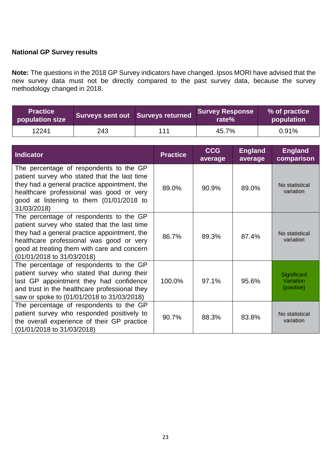#### **National GP Survey results**

**Note:** The questions in the 2018 GP Survey indicators have changed. Ipsos MORI have advised that the new survey data must not be directly compared to the past survey data, because the survey methodology changed in 2018.

| <b>Practice</b><br>population size | Surveys sent out Surveys returned |     | Survey Response<br>rate%' | % of practice<br>population |
|------------------------------------|-----------------------------------|-----|---------------------------|-----------------------------|
| 12241                              | 243                               | 111 | 45.7%                     | 0.91%                       |

| <b>Indicator</b>                                                                                                                                                                                                                                                 | <b>Practice</b> | <b>CCG</b><br>average | <b>England</b><br>average | <b>England</b><br>comparison           |
|------------------------------------------------------------------------------------------------------------------------------------------------------------------------------------------------------------------------------------------------------------------|-----------------|-----------------------|---------------------------|----------------------------------------|
| The percentage of respondents to the GP<br>patient survey who stated that the last time<br>they had a general practice appointment, the<br>healthcare professional was good or very<br>good at listening to them (01/01/2018 to<br>31/03/2018)                   | 89.0%           | 90.9%                 | 89.0%                     | No statistical<br>variation            |
| The percentage of respondents to the GP<br>patient survey who stated that the last time<br>they had a general practice appointment, the<br>healthcare professional was good or very<br>good at treating them with care and concern<br>(01/01/2018 to 31/03/2018) | 86.7%           | 89.3%                 | 87.4%                     | No statistical<br>variation            |
| The percentage of respondents to the GP<br>patient survey who stated that during their<br>last GP appointment they had confidence<br>and trust in the healthcare professional they<br>saw or spoke to (01/01/2018 to 31/03/2018)                                 | 100.0%          | 97.1%                 | 95.6%                     | Significant<br>Variation<br>(positive) |
| The percentage of respondents to the GP<br>patient survey who responded positively to<br>the overall experience of their GP practice<br>(01/01/2018 to 31/03/2018)                                                                                               | 90.7%           | 88.3%                 | 83.8%                     | No statistical<br>variation            |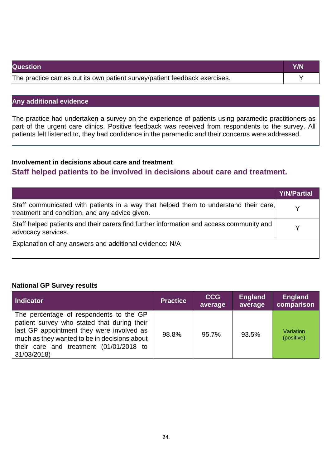| <b>Question</b>                                                             | Y/N |
|-----------------------------------------------------------------------------|-----|
| The practice carries out its own patient survey/patient feedback exercises. |     |

#### **Any additional evidence**

The practice had undertaken a survey on the experience of patients using paramedic practitioners as part of the urgent care clinics. Positive feedback was received from respondents to the survey. All patients felt listened to, they had confidence in the paramedic and their concerns were addressed.

#### **Involvement in decisions about care and treatment Staff helped patients to be involved in decisions about care and treatment.**

|                                                                                                                                        | <b>Y/N/Partial</b> |
|----------------------------------------------------------------------------------------------------------------------------------------|--------------------|
| Staff communicated with patients in a way that helped them to understand their care,<br>treatment and condition, and any advice given. |                    |
| Staff helped patients and their carers find further information and access community and<br>advocacy services.                         |                    |
| Explanation of any answers and additional evidence: N/A                                                                                |                    |

#### **National GP Survey results**

| Indicator                                                                                                                                                                                                                                     | <b>Practice</b> | <b>CCG</b><br>average | <b>England</b><br>average | <b>England</b><br>comparison |
|-----------------------------------------------------------------------------------------------------------------------------------------------------------------------------------------------------------------------------------------------|-----------------|-----------------------|---------------------------|------------------------------|
| The percentage of respondents to the GP<br>patient survey who stated that during their<br>last GP appointment they were involved as<br>much as they wanted to be in decisions about<br>their care and treatment (01/01/2018 to<br>31/03/2018) | 98.8%           | 95.7%                 | 93.5%                     | Variation<br>(positive)      |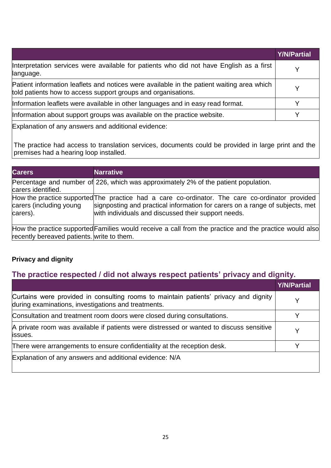|                                                                                                                                                            | <b>Y/N/Partial</b> |
|------------------------------------------------------------------------------------------------------------------------------------------------------------|--------------------|
| Interpretation services were available for patients who did not have English as a first<br>language.                                                       |                    |
| Patient information leaflets and notices were available in the patient waiting area which<br>told patients how to access support groups and organisations. |                    |
| Information leaflets were available in other languages and in easy read format.                                                                            |                    |
| Information about support groups was available on the practice website.                                                                                    |                    |
| Explanation of any answers and additional evidence:                                                                                                        |                    |

The practice had access to translation services, documents could be provided in large print and the premises had a hearing loop installed.

| <b>Carers</b>                              | <b>Narrative</b>                                                                                                                                                                                                                       |
|--------------------------------------------|----------------------------------------------------------------------------------------------------------------------------------------------------------------------------------------------------------------------------------------|
| carers identified.                         | Percentage and number of 226, which was approximately 2% of the patient population.                                                                                                                                                    |
| carers (including young)<br>carers).       | How the practice supported The practice had a care co-ordinator. The care co-ordinator provided<br>signposting and practical information for carers on a range of subjects, met<br>with individuals and discussed their support needs. |
| recently bereaved patients. write to them. | How the practice supported Families would receive a call from the practice and the practice would also                                                                                                                                 |

#### **Privacy and dignity**

## **The practice respected / did not always respect patients' privacy and dignity.**

|                                                                                                                                             | <b>Y/N/Partial</b> |
|---------------------------------------------------------------------------------------------------------------------------------------------|--------------------|
| Curtains were provided in consulting rooms to maintain patients' privacy and dignity<br>during examinations, investigations and treatments. |                    |
| Consultation and treatment room doors were closed during consultations.                                                                     |                    |
| A private room was available if patients were distressed or wanted to discuss sensitive<br>lissues.                                         |                    |
| There were arrangements to ensure confidentiality at the reception desk.                                                                    |                    |
| Explanation of any answers and additional evidence: N/A                                                                                     |                    |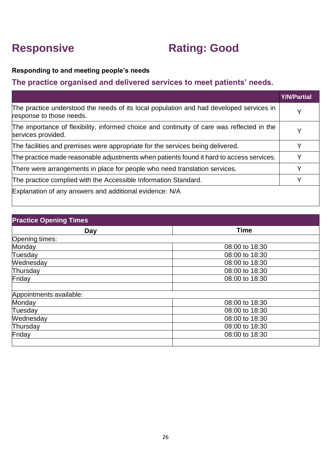## **Responsive Rating: Good**

#### **Responding to and meeting people's needs**

#### **The practice organised and delivered services to meet patients' needs.**

|                                                                                                                     | <b>Y/N/Partial</b> |
|---------------------------------------------------------------------------------------------------------------------|--------------------|
| The practice understood the needs of its local population and had developed services in<br>response to those needs. | Y                  |
| The importance of flexibility, informed choice and continuity of care was reflected in the<br>services provided.    | Y                  |
| The facilities and premises were appropriate for the services being delivered.                                      |                    |
| The practice made reasonable adjustments when patients found it hard to access services.                            | Y                  |
| There were arrangements in place for people who need translation services.                                          | Y                  |
| The practice complied with the Accessible Information Standard.                                                     | v                  |
| Explanation of any answers and additional evidence: N/A                                                             |                    |

| <b>Practice Opening Times</b> |                |
|-------------------------------|----------------|
| Day                           | <b>Time</b>    |
| Opening times:                |                |
| Monday                        | 08:00 to 18:30 |
| Tuesday                       | 08:00 to 18:30 |
| Wednesday                     | 08:00 to 18:30 |
| Thursday                      | 08:00 to 18:30 |
| Friday                        | 08:00 to 18:30 |
|                               |                |
| Appointments available:       |                |
| Monday                        | 08:00 to 18:30 |
| Tuesday                       | 08:00 to 18:30 |
| Wednesday                     | 08:00 to 18:30 |
| Thursday                      | 08:00 to 18:30 |
| Friday                        | 08:00 to 18:30 |
|                               |                |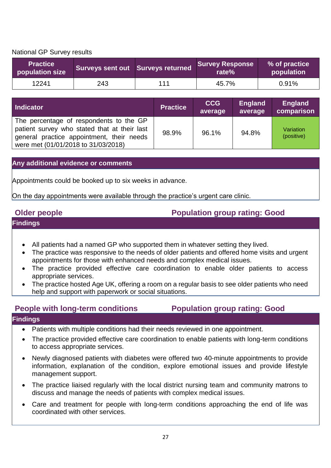National GP Survey results

| <b>Practice</b><br>population size | Surveys sent out Surveys returned |     | <b>Survey Response</b><br>rate $%$ | % of practice<br>population |
|------------------------------------|-----------------------------------|-----|------------------------------------|-----------------------------|
| 12241                              | 243                               | 111 | 45.7%                              | 0.91%                       |

| Indicator                                                                                                                                                                   | <b>Practice</b> | <b>CCG</b><br>average | <b>England</b><br>average | <b>England</b><br>comparison |
|-----------------------------------------------------------------------------------------------------------------------------------------------------------------------------|-----------------|-----------------------|---------------------------|------------------------------|
| The percentage of respondents to the GP<br>patient survey who stated that at their last<br>general practice appointment, their needs<br>were met (01/01/2018 to 31/03/2018) | 98.9%           | 96.1%                 | 94.8%                     | Variation<br>(positive)      |

#### **Any additional evidence or comments**

Appointments could be booked up to six weeks in advance.

On the day appointments were available through the practice's urgent care clinic.

#### **Older people Population group rating: Good**

#### **Findings**

- All patients had a named GP who supported them in whatever setting they lived.
- The practice was responsive to the needs of older patients and offered home visits and urgent appointments for those with enhanced needs and complex medical issues.
- The practice provided effective care coordination to enable older patients to access appropriate services.
- The practice hosted Age UK, offering a room on a regular basis to see older patients who need help and support with paperwork or social situations.

#### **People with long-term conditions Population group rating: Good**

- Patients with multiple conditions had their needs reviewed in one appointment.
- The practice provided effective care coordination to enable patients with long-term conditions to access appropriate services.
- Newly diagnosed patients with diabetes were offered two 40-minute appointments to provide information, explanation of the condition, explore emotional issues and provide lifestyle management support.
- The practice liaised regularly with the local district nursing team and community matrons to discuss and manage the needs of patients with complex medical issues.
- Care and treatment for people with long-term conditions approaching the end of life was coordinated with other services.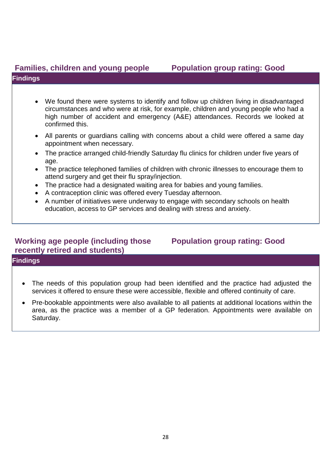#### **Families, children and young people Population group rating: Good Findings**

#### • We found there were systems to identify and follow up children living in disadvantaged circumstances and who were at risk, for example, children and young people who had a high number of accident and emergency (A&E) attendances. Records we looked at confirmed this.

- All parents or guardians calling with concerns about a child were offered a same day appointment when necessary.
- The practice arranged child-friendly Saturday flu clinics for children under five years of age.
- The practice telephoned families of children with chronic illnesses to encourage them to attend surgery and get their flu spray/injection.
- The practice had a designated waiting area for babies and young families.
- A contraception clinic was offered every Tuesday afternoon.
- A number of initiatives were underway to engage with secondary schools on health education, access to GP services and dealing with stress and anxiety.

### **Working age people (including those recently retired and students)**

### **Population group rating: Good**

- The needs of this population group had been identified and the practice had adjusted the services it offered to ensure these were accessible, flexible and offered continuity of care.
- Pre-bookable appointments were also available to all patients at additional locations within the area, as the practice was a member of a GP federation. Appointments were available on Saturday.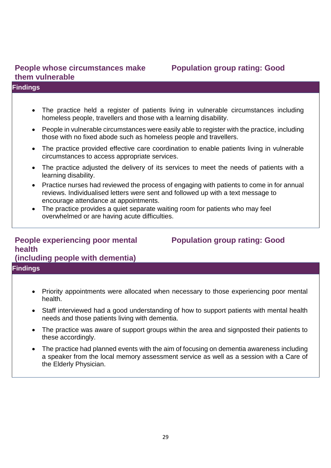#### **People whose circumstances make them vulnerable**

#### **Findings**

- The practice held a register of patients living in vulnerable circumstances including homeless people, travellers and those with a learning disability.
- People in vulnerable circumstances were easily able to register with the practice, including those with no fixed abode such as homeless people and travellers.
- The practice provided effective care coordination to enable patients living in vulnerable circumstances to access appropriate services.
- The practice adjusted the delivery of its services to meet the needs of patients with a learning disability.
- Practice nurses had reviewed the process of engaging with patients to come in for annual reviews. Individualised letters were sent and followed up with a text message to encourage attendance at appointments.
- The practice provides a quiet separate waiting room for patients who may feel overwhelmed or are having acute difficulties.

#### **People experiencing poor mental health (including people with dementia) Findings**

health.

- Priority appointments were allocated when necessary to those experiencing poor mental
- Staff interviewed had a good understanding of how to support patients with mental health needs and those patients living with dementia.
- The practice was aware of support groups within the area and signposted their patients to these accordingly.
- The practice had planned events with the aim of focusing on dementia awareness including a speaker from the local memory assessment service as well as a session with a Care of the Elderly Physician.

## **Population group rating: Good**

# **Population group rating: Good**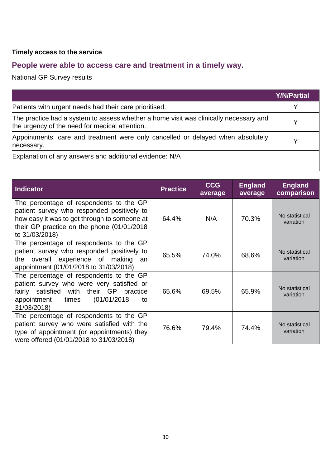#### **Timely access to the service**

## **People were able to access care and treatment in a timely way.**

National GP Survey results

|                                                                                                                                         | <b>Y/N/Partial</b> |
|-----------------------------------------------------------------------------------------------------------------------------------------|--------------------|
| Patients with urgent needs had their care prioritised.                                                                                  |                    |
| The practice had a system to assess whether a home visit was clinically necessary and<br>the urgency of the need for medical attention. |                    |
| Appointments, care and treatment were only cancelled or delayed when absolutely<br>necessary.                                           |                    |
| Explanation of any answers and additional evidence: N/A                                                                                 |                    |

| Indicator                                                                                                                                                                                              | <b>Practice</b> | <b>CCG</b><br>average | <b>England</b><br>average | <b>England</b><br>comparison |
|--------------------------------------------------------------------------------------------------------------------------------------------------------------------------------------------------------|-----------------|-----------------------|---------------------------|------------------------------|
| The percentage of respondents to the GP<br>patient survey who responded positively to<br>how easy it was to get through to someone at<br>their GP practice on the phone (01/01/2018)<br>to 31/03/2018) | 64.4%           | N/A                   | 70.3%                     | No statistical<br>variation  |
| The percentage of respondents to the GP<br>patient survey who responded positively to<br>overall experience of making<br>the<br>an<br>appointment (01/01/2018 to 31/03/2018)                           | 65.5%           | 74.0%                 | 68.6%                     | No statistical<br>variation  |
| The percentage of respondents to the GP<br>patient survey who were very satisfied or<br>fairly satisfied with their GP practice<br>(01/01/2018<br>appointment<br>times<br>to<br>31/03/2018)            | 65.6%           | 69.5%                 | 65.9%                     | No statistical<br>variation  |
| The percentage of respondents to the GP<br>patient survey who were satisfied with the<br>type of appointment (or appointments) they<br>were offered (01/01/2018 to 31/03/2018)                         | 76.6%           | 79.4%                 | 74.4%                     | No statistical<br>variation  |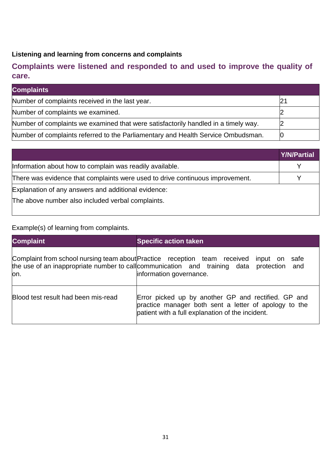#### **Listening and learning from concerns and complaints**

### **Complaints were listened and responded to and used to improve the quality of care.**

| <b>Complaints</b>                                                                  |  |
|------------------------------------------------------------------------------------|--|
| Number of complaints received in the last year.                                    |  |
| Number of complaints we examined.                                                  |  |
| Number of complaints we examined that were satisfactorily handled in a timely way. |  |
| Number of complaints referred to the Parliamentary and Health Service Ombudsman.   |  |

|                                                                               | <b>Y/N/Partial</b> |
|-------------------------------------------------------------------------------|--------------------|
| Information about how to complain was readily available.                      |                    |
| There was evidence that complaints were used to drive continuous improvement. |                    |
| Explanation of any answers and additional evidence:                           |                    |
| The above number also included verbal complaints.                             |                    |
|                                                                               |                    |

#### Example(s) of learning from complaints.

| <b>Complaint</b>                    | <b>Specific action taken</b>                                                                                                                                                                                          |  |
|-------------------------------------|-----------------------------------------------------------------------------------------------------------------------------------------------------------------------------------------------------------------------|--|
| lon.                                | Complaint from school nursing team about Practice reception team received input on<br>safe<br>the use of an inappropriate number to call communication and training data protection<br>and<br>information governance. |  |
| Blood test result had been mis-read | Error picked up by another GP and rectified. GP and<br>practice manager both sent a letter of apology to the<br>patient with a full explanation of the incident.                                                      |  |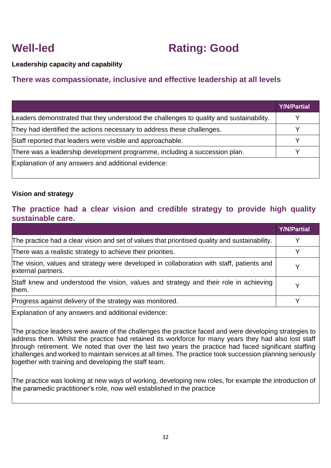## **Well-led Rating: Good**

**Leadership capacity and capability**

#### **There was compassionate, inclusive and effective leadership at all levels**

|                                                                                         | <b>Y/N/Partial</b> |
|-----------------------------------------------------------------------------------------|--------------------|
| Leaders demonstrated that they understood the challenges to quality and sustainability. |                    |
| They had identified the actions necessary to address these challenges.                  |                    |
| Staff reported that leaders were visible and approachable.                              |                    |
| There was a leadership development programme, including a succession plan.              |                    |
| Explanation of any answers and additional evidence:                                     |                    |

#### **Vision and strategy**

#### **The practice had a clear vision and credible strategy to provide high quality sustainable care.**

|                                                                                                                | <b>Y/N/Partial</b> |
|----------------------------------------------------------------------------------------------------------------|--------------------|
| The practice had a clear vision and set of values that prioritised quality and sustainability.                 |                    |
| There was a realistic strategy to achieve their priorities.                                                    |                    |
| The vision, values and strategy were developed in collaboration with staff, patients and<br>external partners. |                    |
| Staff knew and understood the vision, values and strategy and their role in achieving<br>them.                 |                    |
| Progress against delivery of the strategy was monitored.                                                       |                    |

Explanation of any answers and additional evidence:

The practice leaders were aware of the challenges the practice faced and were developing strategies to address them. Whilst the practice had retained its workforce for many years they had also lost staff through retirement. We noted that over the last two years the practice had faced significant staffing challenges and worked to maintain services at all times. The practice took succession planning seriously together with training and developing the staff team.

The practice was looking at new ways of working, developing new roles, for example the introduction of the paramedic practitioner's role, now well established in the practice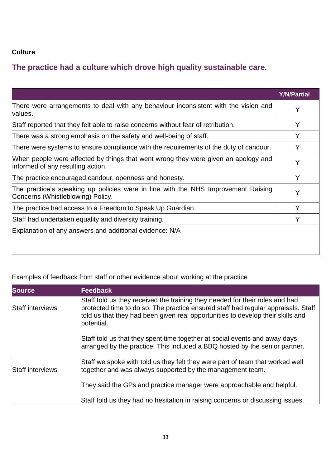#### **Culture**

### **The practice had a culture which drove high quality sustainable care.**

|                                                                                                                         | <b>Y/N/Partial</b> |
|-------------------------------------------------------------------------------------------------------------------------|--------------------|
| There were arrangements to deal with any behaviour inconsistent with the vision and<br>values.                          | Y                  |
| Staff reported that they felt able to raise concerns without fear of retribution.                                       | Y                  |
| There was a strong emphasis on the safety and well-being of staff.                                                      | Y                  |
| There were systems to ensure compliance with the requirements of the duty of candour.                                   | Y                  |
| When people were affected by things that went wrong they were given an apology and<br>informed of any resulting action. | Y                  |
| The practice encouraged candour, openness and honesty.                                                                  | Y                  |
| The practice's speaking up policies were in line with the NHS Improvement Raising<br>Concerns (Whistleblowing) Policy.  | Υ                  |
| The practice had access to a Freedom to Speak Up Guardian.                                                              | Y                  |
| Staff had undertaken equality and diversity training.                                                                   |                    |
| Explanation of any answers and additional evidence: N/A                                                                 |                    |

#### Examples of feedback from staff or other evidence about working at the practice

| <b>Source</b>           | <b>Feedback</b>                                                                                                                                                                                                                                                    |
|-------------------------|--------------------------------------------------------------------------------------------------------------------------------------------------------------------------------------------------------------------------------------------------------------------|
| <b>Staff interviews</b> | Staff told us they received the training they needed for their roles and had<br>protected time to do so. The practice ensured staff had regular appraisals. Staff<br>told us that they had been given real opportunities to develop their skills and<br>potential. |
|                         | Staff told us that they spent time together at social events and away days<br>arranged by the practice. This included a BBQ hosted by the senior partner.                                                                                                          |
| <b>Staff interviews</b> | Staff we spoke with told us they felt they were part of team that worked well<br>together and was always supported by the management team.                                                                                                                         |
|                         | They said the GPs and practice manager were approachable and helpful.                                                                                                                                                                                              |
|                         | Staff told us they had no hesitation in raising concerns or discussing issues.                                                                                                                                                                                     |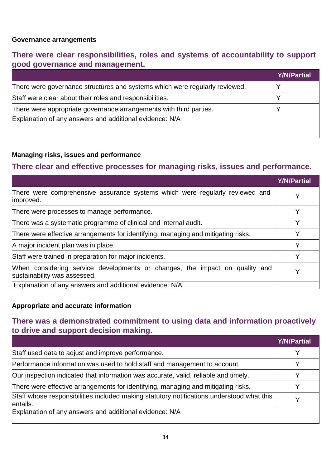#### **Governance arrangements**

#### **There were clear responsibilities, roles and systems of accountability to support good governance and management.**

|                                                                             | Y/N/Partial |
|-----------------------------------------------------------------------------|-------------|
| There were governance structures and systems which were regularly reviewed. |             |
| Staff were clear about their roles and responsibilities.                    |             |
| There were appropriate governance arrangements with third parties.          |             |
| Explanation of any answers and additional evidence: N/A                     |             |

#### **Managing risks, issues and performance**

#### **There clear and effective processes for managing risks, issues and performance.**

|                                                                                                             | <b>Y/N/Partial</b> |
|-------------------------------------------------------------------------------------------------------------|--------------------|
| There were comprehensive assurance systems which were regularly reviewed and<br>improved.                   | v                  |
| There were processes to manage performance.                                                                 |                    |
| There was a systematic programme of clinical and internal audit.                                            |                    |
| There were effective arrangements for identifying, managing and mitigating risks.                           |                    |
| A major incident plan was in place.                                                                         | v                  |
| Staff were trained in preparation for major incidents.                                                      |                    |
| When considering service developments or changes, the impact on quality and<br>sustainability was assessed. |                    |
| Explanation of any answers and additional evidence: N/A                                                     |                    |

#### **Appropriate and accurate information**

#### **There was a demonstrated commitment to using data and information proactively to drive and support decision making.**

|                                                                                                       | <b>Y/N/Partial</b> |
|-------------------------------------------------------------------------------------------------------|--------------------|
| Staff used data to adjust and improve performance.                                                    |                    |
| Performance information was used to hold staff and management to account.                             |                    |
| Our inspection indicated that information was accurate, valid, reliable and timely.                   |                    |
| There were effective arrangements for identifying, managing and mitigating risks.                     |                    |
| Staff whose responsibilities included making statutory notifications understood what this<br>entails. |                    |
| Explanation of any answers and additional evidence: N/A                                               |                    |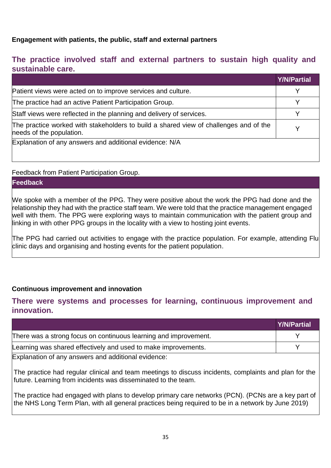#### **Engagement with patients, the public, staff and external partners**

#### **The practice involved staff and external partners to sustain high quality and sustainable care.**

|                                                                                                                   | <b>Y/N/Partial</b> |
|-------------------------------------------------------------------------------------------------------------------|--------------------|
| Patient views were acted on to improve services and culture.                                                      |                    |
| The practice had an active Patient Participation Group.                                                           |                    |
| Staff views were reflected in the planning and delivery of services.                                              |                    |
| The practice worked with stakeholders to build a shared view of challenges and of the<br>needs of the population. |                    |
| Explanation of any answers and additional evidence: N/A                                                           |                    |

#### Feedback from Patient Participation Group.

#### **Feedback**

We spoke with a member of the PPG. They were positive about the work the PPG had done and the relationship they had with the practice staff team. We were told that the practice management engaged well with them. The PPG were exploring ways to maintain communication with the patient group and linking in with other PPG groups in the locality with a view to hosting joint events.

The PPG had carried out activities to engage with the practice population. For example, attending Flu clinic days and organising and hosting events for the patient population.

#### **Continuous improvement and innovation**

#### **There were systems and processes for learning, continuous improvement and innovation.**

|                                                                  | <b>Y/N/Partial</b> |
|------------------------------------------------------------------|--------------------|
| There was a strong focus on continuous learning and improvement. |                    |
| Learning was shared effectively and used to make improvements.   |                    |
| Explanation of any answers and additional evidence:              |                    |

The practice had regular clinical and team meetings to discuss incidents, complaints and plan for the future. Learning from incidents was disseminated to the team.

The practice had engaged with plans to develop primary care networks (PCN). (PCNs are a key part of the NHS Long Term Plan, with all general practices being required to be in a network by June 2019)